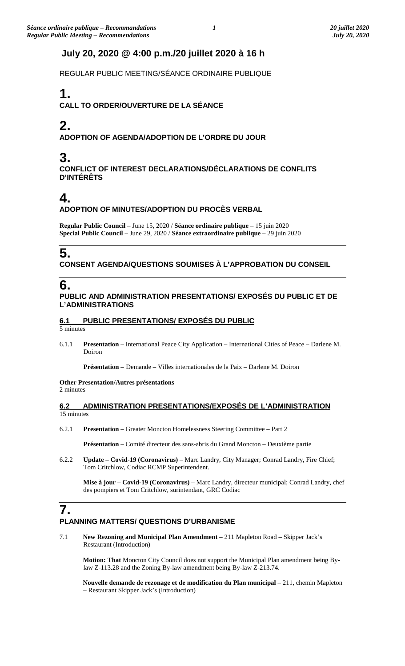## **July 20, 2020 @ 4:00 p.m./20 juillet 2020 à 16 h**

REGULAR PUBLIC MEETING/SÉANCE ORDINAIRE PUBLIQUE

# **1.**

**CALL TO ORDER/OUVERTURE DE LA SÉANCE**

# **2.**

**ADOPTION OF AGENDA/ADOPTION DE L'ORDRE DU JOUR**

## **3.**

**CONFLICT OF INTEREST DECLARATIONS/DÉCLARATIONS DE CONFLITS D'INTÉRÊTS**

## **4.**

### **ADOPTION OF MINUTES/ADOPTION DU PROCÈS VERBAL**

**Regular Public Council** – June 15, 2020 / **Séance ordinaire publique** – 15 juin 2020 **Special Public Council** – June 29, 2020 / **Séance extraordinaire publique** – 29 juin 2020

# **5.**

**CONSENT AGENDA/QUESTIONS SOUMISES À L'APPROBATION DU CONSEIL**

## **6.**

#### **PUBLIC AND ADMINISTRATION PRESENTATIONS/ EXPOSÉS DU PUBLIC ET DE L'ADMINISTRATIONS**

### **6.1 PUBLIC PRESENTATIONS/ EXPOSÉS DU PUBLIC**

5 minutes

6.1.1 **Presentation** – International Peace City Application – International Cities of Peace – Darlene M. Doiron

**Présentation** – Demande – Villes internationales de la Paix – Darlene M. Doiron

#### **Other Presentation/Autres présentations** 2 minutes

#### **6.2 ADMINISTRATION PRESENTATIONS/EXPOSÉS DE L'ADMINISTRATION** 15 minutes

6.2.1 **Presentation** – Greater Moncton Homelessness Steering Committee – Part 2

**Présentation** – Comité directeur des sans-abris du Grand Moncton – Deuxième partie

6.2.2 **Update – Covid-19 (Coronavirus)** – Marc Landry, City Manager; Conrad Landry, Fire Chief; Tom Critchlow, Codiac RCMP Superintendent.

**Mise à jour – Covid-19 (Coronavirus)** – Marc Landry, directeur municipal; Conrad Landry, chef des pompiers et Tom Critchlow, surintendant, GRC Codiac

## **7. PLANNING MATTERS/ QUESTIONS D'URBANISME**

7.1 **New Rezoning and Municipal Plan Amendment** – 211 Mapleton Road – Skipper Jack's Restaurant (Introduction)

**Motion: That** Moncton City Council does not support the Municipal Plan amendment being Bylaw Z-113.28 and the Zoning By-law amendment being By-law Z-213.74.

**Nouvelle demande de rezonage et de modification du Plan municipal** – 211, chemin Mapleton – Restaurant Skipper Jack's (Introduction)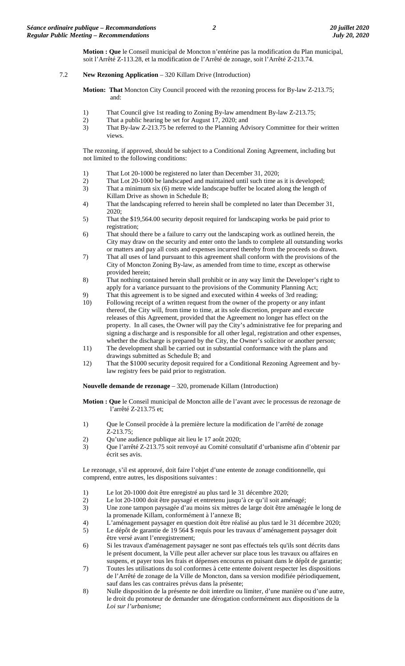**Motion : Que** le Conseil municipal de Moncton n'entérine pas la modification du Plan municipal, soit l'Arrêté Z-113.28, et la modification de l'Arrêté de zonage, soit l'Arrêté Z-213.74.

#### 7.2 **New Rezoning Application** – 320 Killam Drive (Introduction)

**Motion: That** Moncton City Council proceed with the rezoning process for By-law Z-213.75; and:

- 1) That Council give 1st reading to Zoning By-law amendment By-law Z-213.75;
- 
- 2) That a public hearing be set for August 17, 2020; and<br>  $\frac{1}{2}$  That By-law  $\frac{7.21375}{2}$  be referred to the Planning Adv That By-law Z-213.75 be referred to the Planning Advisory Committee for their written views.

The rezoning, if approved, should be subject to a Conditional Zoning Agreement, including but not limited to the following conditions:

- 1) That Lot 20-1000 be registered no later than December 31, 2020;
- 2) That Lot 20-1000 be landscaped and maintained until such time as it is developed;
- 3) That a minimum six (6) metre wide landscape buffer be located along the length of Killam Drive as shown in Schedule B;
- 4) That the landscaping referred to herein shall be completed no later than December 31, 2020;
- 5) That the \$19,564.00 security deposit required for landscaping works be paid prior to registration;
- 6) That should there be a failure to carry out the landscaping work as outlined herein, the City may draw on the security and enter onto the lands to complete all outstanding works or matters and pay all costs and expenses incurred thereby from the proceeds so drawn.
- 7) That all uses of land pursuant to this agreement shall conform with the provisions of the City of Moncton Zoning By-law, as amended from time to time, except as otherwise provided herein;
- 8) That nothing contained herein shall prohibit or in any way limit the Developer's right to apply for a variance pursuant to the provisions of the Community Planning Act;
- 9) That this agreement is to be signed and executed within 4 weeks of 3rd reading;<br>10) Following receipt of a written request from the owner of the property or any infa
- Following receipt of a written request from the owner of the property or any infant thereof, the City will, from time to time, at its sole discretion, prepare and execute releases of this Agreement, provided that the Agreement no longer has effect on the property. In all cases, the Owner will pay the City's administrative fee for preparing and signing a discharge and is responsible for all other legal, registration and other expenses, whether the discharge is prepared by the City, the Owner's solicitor or another person;
- 11) The development shall be carried out in substantial conformance with the plans and drawings submitted as Schedule B; and
- 12) That the \$1000 security deposit required for a Conditional Rezoning Agreement and bylaw registry fees be paid prior to registration.

**Nouvelle demande de rezonage** – 320, promenade Killam (Introduction)

**Motion : Que** le Conseil municipal de Moncton aille de l'avant avec le processus de rezonage de l'arrêté Z-213.75 et;

- 1) Que le Conseil procède à la première lecture la modification de l'arrêté de zonage Z-213.75;
- 2) Qu'une audience publique ait lieu le 17 août 2020;
- 3) Que l'arrêté Z-213.75 soit renvoyé au Comité consultatif d'urbanisme afin d'obtenir par écrit ses avis.

Le rezonage, s'il est approuvé, doit faire l'objet d'une entente de zonage conditionnelle, qui comprend, entre autres, les dispositions suivantes :

- 1) Le lot 20-1000 doit être enregistré au plus tard le 31 décembre 2020;
- 2) Le lot 20-1000 doit être paysagé et entretenu jusqu'à ce qu'il soit aménagé;
- 3) Une zone tampon paysagée d'au moins six mètres de large doit être aménagée le long de la promenade Killam, conformément à l'annexe B;
- 4) L'aménagement paysager en question doit être réalisé au plus tard le 31 décembre 2020; 5) Le dépôt de garantie de 19 564 \$ requis pour les travaux d'aménagement paysager doit être versé avant l'enregistrement;
- 6) Si les travaux d'aménagement paysager ne sont pas effectués tels qu'ils sont décrits dans le présent document, la Ville peut aller achever sur place tous les travaux ou affaires en suspens, et payer tous les frais et dépenses encourus en puisant dans le dépôt de garantie;
- 7) Toutes les utilisations du sol conformes à cette entente doivent respecter les dispositions de l'Arrêté de zonage de la Ville de Moncton, dans sa version modifiée périodiquement, sauf dans les cas contraires prévus dans la présente;
- 8) Nulle disposition de la présente ne doit interdire ou limiter, d'une manière ou d'une autre, le droit du promoteur de demander une dérogation conformément aux dispositions de la *Loi sur l'urbanisme*;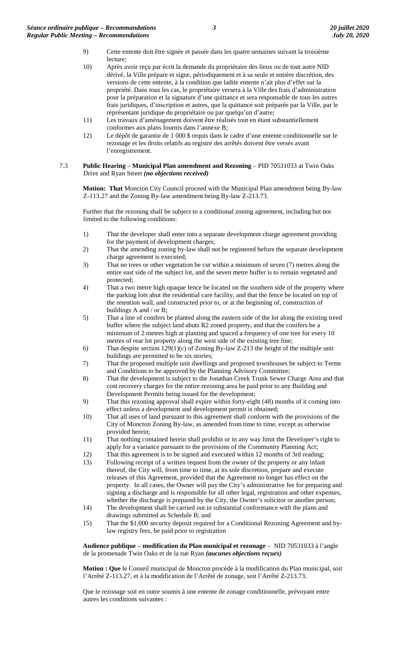- 9) Cette entente doit être signée et passée dans les quatre semaines suivant la troisième lecture;
- 10) Après avoir reçu par écrit la demande du propriétaire des lieux ou de tout autre NID dérivé, la Ville prépare et signe, périodiquement et à sa seule et entière discrétion, des versions de cette entente, à la condition que ladite entente n'ait plus d'effet sur la propriété. Dans tous les cas, le propriétaire versera à la Ville des frais d'administration pour la préparation et la signature d'une quittance et sera responsable de tous les autres frais juridiques, d'inscription et autres, que la quittance soit préparée par la Ville, par le représentant juridique du propriétaire ou par quelqu'un d'autre;
- 11) Les travaux d'aménagement doivent être réalisés tout en étant substantiellement conformes aux plans fournis dans l'annexe B;
- 12) Le dépôt de garantie de 1 000 \$ requis dans le cadre d'une entente conditionnelle sur le rezonage et les droits relatifs au registre des arrêtés doivent être versés avant l'enregistrement.
- 7.3 **Public Hearing Municipal Plan amendment and Rezoning** PID 70531033 at Twin Oaks Drive and Ryan Street *(no objections received)*

**Motion: That** Moncton City Council proceed with the Municipal Plan amendment being By-law Z-113.27 and the Zoning By-law amendment being By-law Z-213.73.

Further that the rezoning shall be subject to a conditional zoning agreement, including but not limited to the following conditions:

- 1) That the developer shall enter into a separate development charge agreement providing for the payment of development charges;
- 2) That the amending zoning by-law shall not be registered before the separate development charge agreement is executed;
- 3) That no trees or other vegetation be cut within a minimum of seven (7) metres along the entire east side of the subject lot, and the seven metre buffer is to remain vegetated and protected;
- 4) That a two metre high opaque fence be located on the southern side of the property where the parking lots abut the residential care facility, and that the fence be located on top of the retention wall, and constructed prior to, or at the beginning of, construction of buildings A and / or B;
- 5) That a line of conifers be planted along the eastern side of the lot along the existing treed buffer where the subject land abuts R2 zoned property, and that the conifers be a minimum of 2 metres high at planting and spaced a frequency of one tree for every 10 metres of rear lot property along the west side of the existing tree line;
- 6) That despite section 129(1)(c) of Zoning By-law Z-213 the height of the multiple unit buildings are permitted to be six stories;
- 7) That the proposed multiple unit dwellings and proposed townhouses be subject to Terms and Conditions to be approved by the Planning Advisory Committee;
- 8) That the development is subject to the Jonathan Creek Trunk Sewer Charge Area and that cost recovery charges for the entire rezoning area be paid prior to any Building and Development Permits being issued for the development;
- 9) That this rezoning approval shall expire within forty-eight (48) months of it coming into effect unless a development and development permit is obtained;
- 10) That all uses of land pursuant to this agreement shall conform with the provisions of the City of Moncton Zoning By-law, as amended from time to time, except as otherwise provided herein;
- 11) That nothing contained herein shall prohibit or in any way limit the Developer's right to apply for a variance pursuant to the provisions of the Community Planning Act;
- 12) That this agreement is to be signed and executed within 12 months of 3rd reading;
- 13) Following receipt of a written request from the owner of the property or any infant thereof, the City will, from time to time, at its sole discretion, prepare and execute releases of this Agreement, provided that the Agreement no longer has effect on the property. In all cases, the Owner will pay the City's administrative fee for preparing and signing a discharge and is responsible for all other legal, registration and other expenses, whether the discharge is prepared by the City, the Owner's solicitor or another person;
- 14) The development shall be carried out in substantial conformance with the plans and drawings submitted as Schedule B; and
- 15) That the \$1,000 security deposit required for a Conditional Rezoning Agreement and bylaw registry fees, be paid prior to registration

**Audience publique** – **modification du Plan municipal et rezonage** – NID 70531033 à l'angle de la promenade Twin Oaks et de la rue Ryan *(aucunes objections reçues)*

**Motion : Que** le Conseil municipal de Moncton procède à la modification du Plan municipal, soit l'Arrêté Z-113.27, et à la modification de l'Arrêté de zonage, soit l'Arrêté Z-213.73.

Que le rezonage soit en outre soumis à une entente de zonage conditionnelle, prévoyant entre autres les conditions suivantes :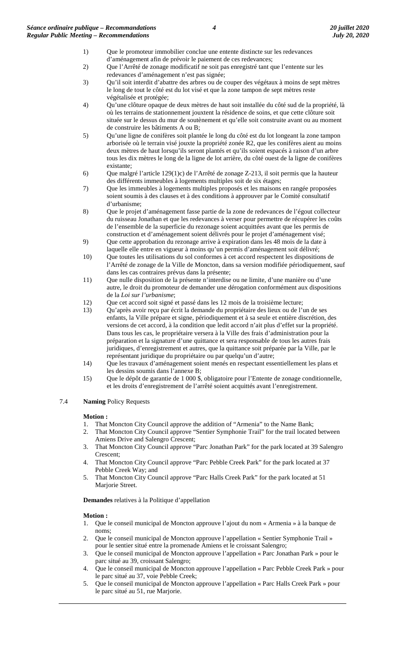- 1) Que le promoteur immobilier conclue une entente distincte sur les redevances d'aménagement afin de prévoir le paiement de ces redevances;
- 2) Que l'Arrêté de zonage modificatif ne soit pas enregistré tant que l'entente sur les redevances d'aménagement n'est pas signée;
- 3) Qu'il soit interdit d'abattre des arbres ou de couper des végétaux à moins de sept mètres le long de tout le côté est du lot visé et que la zone tampon de sept mètres reste végétalisée et protégée;
- 4) Qu'une clôture opaque de deux mètres de haut soit installée du côté sud de la propriété, là où les terrains de stationnement jouxtent la résidence de soins, et que cette clôture soit située sur le dessus du mur de soutènement et qu'elle soit construite avant ou au moment de construire les bâtiments A ou B;
- 5) Qu'une ligne de conifères soit plantée le long du côté est du lot longeant la zone tampon arborisée où le terrain visé jouxte la propriété zonée R2, que les conifères aient au moins deux mètres de haut lorsqu'ils seront plantés et qu'ils soient espacés à raison d'un arbre tous les dix mètres le long de la ligne de lot arrière, du côté ouest de la ligne de conifères existante;
- 6) Que malgré l'article 129(1)c) de l'Arrêté de zonage Z-213, il soit permis que la hauteur des différents immeubles à logements multiples soit de six étages;
- 7) Que les immeubles à logements multiples proposés et les maisons en rangée proposées soient soumis à des clauses et à des conditions à approuver par le Comité consultatif d'urbanisme;
- 8) Que le projet d'aménagement fasse partie de la zone de redevances de l'égout collecteur du ruisseau Jonathan et que les redevances à verser pour permettre de récupérer les coûts de l'ensemble de la superficie du rezonage soient acquittées avant que les permis de construction et d'aménagement soient délivrés pour le projet d'aménagement visé;
- 9) Que cette approbation du rezonage arrive à expiration dans les 48 mois de la date à laquelle elle entre en vigueur à moins qu'un permis d'aménagement soit délivré;
- 10) Que toutes les utilisations du sol conformes à cet accord respectent les dispositions de l'Arrêté de zonage de la Ville de Moncton, dans sa version modifiée périodiquement, sauf dans les cas contraires prévus dans la présente;
- 11) Que nulle disposition de la présente n'interdise ou ne limite, d'une manière ou d'une autre, le droit du promoteur de demander une dérogation conformément aux dispositions de la *Loi sur l'urbanisme*;
- 12) Que cet accord soit signé et passé dans les 12 mois de la troisième lecture;
- 13) Qu'après avoir reçu par écrit la demande du propriétaire des lieux ou de l'un de ses enfants, la Ville prépare et signe, périodiquement et à sa seule et entière discrétion, des versions de cet accord, à la condition que ledit accord n'ait plus d'effet sur la propriété. Dans tous les cas, le propriétaire versera à la Ville des frais d'administration pour la préparation et la signature d'une quittance et sera responsable de tous les autres frais juridiques, d'enregistrement et autres, que la quittance soit préparée par la Ville, par le représentant juridique du propriétaire ou par quelqu'un d'autre;
- 14) Que les travaux d'aménagement soient menés en respectant essentiellement les plans et les dessins soumis dans l'annexe B;
- 15) Que le dépôt de garantie de 1 000 \$, obligatoire pour l'Entente de zonage conditionnelle, et les droits d'enregistrement de l'arrêté soient acquittés avant l'enregistrement.

#### 7.4 **Naming** Policy Requests

#### **Motion :**

- 1. That Moncton City Council approve the addition of "Armenia" to the Name Bank;
- 2. That Moncton City Council approve "Sentier Symphonie Trail" for the trail located between Amiens Drive and Salengro Crescent;
- 3. That Moncton City Council approve "Parc Jonathan Park" for the park located at 39 Salengro Crescent;
- 4. That Moncton City Council approve "Parc Pebble Creek Park" for the park located at 37 Pebble Creek Way; and
- 5. That Moncton City Council approve "Parc Halls Creek Park" for the park located at 51 Marjorie Street.

**Demandes** relatives à la Politique d'appellation

#### **Motion :**

- 1. Que le conseil municipal de Moncton approuve l'ajout du nom « Armenia » à la banque de noms;
- 2. Que le conseil municipal de Moncton approuve l'appellation « Sentier Symphonie Trail » pour le sentier situé entre la promenade Amiens et le croissant Salengro;
- 3. Que le conseil municipal de Moncton approuve l'appellation « Parc Jonathan Park » pour le parc situé au 39, croissant Salengro;
- 4. Que le conseil municipal de Moncton approuve l'appellation « Parc Pebble Creek Park » pour le parc situé au 37, voie Pebble Creek;
- 5. Que le conseil municipal de Moncton approuve l'appellation « Parc Halls Creek Park » pour le parc situé au 51, rue Marjorie.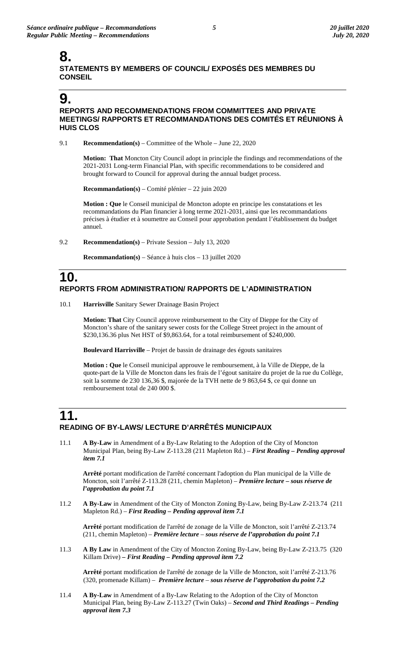### **8. STATEMENTS BY MEMBERS OF COUNCIL/ EXPOSÉS DES MEMBRES DU CONSEIL**

## **9.**

#### **REPORTS AND RECOMMENDATIONS FROM COMMITTEES AND PRIVATE MEETINGS/ RAPPORTS ET RECOMMANDATIONS DES COMITÉS ET RÉUNIONS À HUIS CLOS**

9.1 **Recommendation(s)** – Committee of the Whole – June 22, 2020

**Motion: That** Moncton City Council adopt in principle the findings and recommendations of the 2021-2031 Long-term Financial Plan, with specific recommendations to be considered and brought forward to Council for approval during the annual budget process.

**Recommandation(s)** – Comité plénier – 22 juin 2020

**Motion : Que** le Conseil municipal de Moncton adopte en principe les constatations et les recommandations du Plan financier à long terme 2021-2031, ainsi que les recommandations précises à étudier et à soumettre au Conseil pour approbation pendant l'établissement du budget annuel.

9.2 **Recommendation(s)** – Private Session – July 13, 2020

**Recommandation(s)** – Séance à huis clos – 13 juillet 2020

## **10. REPORTS FROM ADMINISTRATION/ RAPPORTS DE L'ADMINISTRATION**

10.1 **Harrisville** Sanitary Sewer Drainage Basin Project

**Motion: That** City Council approve reimbursement to the City of Dieppe for the City of Moncton's share of the sanitary sewer costs for the College Street project in the amount of \$230,136.36 plus Net HST of \$9,863.64, for a total reimbursement of \$240,000.

**Boulevard Harrisville** – Projet de bassin de drainage des égouts sanitaires

**Motion : Que** le Conseil municipal approuve le remboursement, à la Ville de Dieppe, de la quote-part de la Ville de Moncton dans les frais de l'égout sanitaire du projet de la rue du Collège, soit la somme de 230 136,36 \$, majorée de la TVH nette de 9 863,64 \$, ce qui donne un remboursement total de 240 000 \$.

## **11. READING OF BY-LAWS/ LECTURE D'ARRÊTÉS MUNICIPAUX**

11.1 **A By-Law** in Amendment of a By-Law Relating to the Adoption of the City of Moncton Municipal Plan, being By-Law Z-113.28 (211 Mapleton Rd.) – *First Reading – Pending approval item 7.1*

**Arrêté** portant modification de l'arrêté concernant l'adoption du Plan municipal de la Ville de Moncton, soit l'arrêté Z-113.28 (211, chemin Mapleton) – *Première lecture – sous réserve de l'approbation du point 7.1*

11.2 **A By-Law** in Amendment of the City of Moncton Zoning By-Law, being By-Law Z-213.74 (211 Mapleton Rd.) – *First Reading – Pending approval item 7.1*

**Arrêté** portant modification de l'arrêté de zonage de la Ville de Moncton, soit l'arrêté Z-213.74 (211, chemin Mapleton) – *Première lecture* – *sous réserve de l'approbation du point 7.1*

11.3 **A By Law** in Amendment of the City of Moncton Zoning By-Law, being By-Law Z-213.75 (320 Killam Drive) *– First Reading – Pending approval item 7.2*

**Arrêté** portant modification de l'arrêté de zonage de la Ville de Moncton, soit l'arrêté Z-213.76 (320, promenade Killam) – *Première lecture* – *sous réserve de l'approbation du point 7.2*

11.4 **A By-Law** in Amendment of a By-Law Relating to the Adoption of the City of Moncton Municipal Plan, being By-Law Z-113.27 (Twin Oaks) – *Second and Third Readings – Pending approval item 7.3*